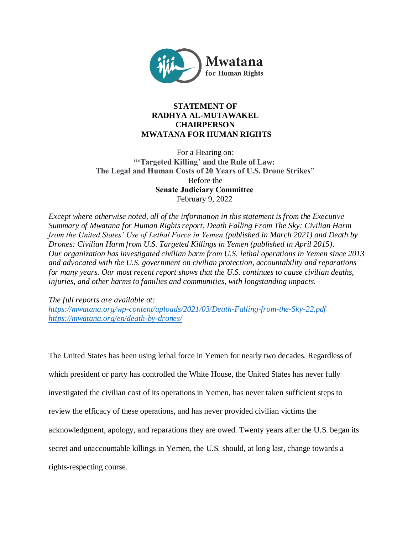

# **STATEMENT OF RADHYA AL-MUTAWAKEL CHAIRPERSON MWATANA FOR HUMAN RIGHTS**

For a Hearing on: **"'Targeted Killing' and the Rule of Law: The Legal and Human Costs of 20 Years of U.S. Drone Strikes"** Before the **Senate Judiciary Committee** February 9, 2022 

*Except where otherwise noted, all of the information in this statement is from the Executive Summary of Mwatana for Human Rights report, Death Falling From The Sky: Civilian Harm from the United States' Use of Lethal Force in Yemen (published in March 2021) and Death by Drones: Civilian Harm from U.S. Targeted Killings in Yemen (published in April 2015). Our organization has investigated civilian harm from U.S. lethal operations in Yemen since 2013 and advocated with the U.S. government on civilian protection, accountability and reparations for many years. Our most recent report shows that the U.S. continues to cause civilian deaths, injuries, and other harms to families and communities, with longstanding impacts.*

*The full reports are available at:* 

*<https://mwatana.org/wp-content/uploads/2021/03/Death-Falling-from-the-Sky-22.pdf> <https://mwatana.org/en/death-by-drones/>*

The United States has been using lethal force in Yemen for nearly two decades. Regardless of which president or party has controlled the White House, the United States has never fully investigated the civilian cost of its operations in Yemen, has never taken sufficient steps to review the efficacy of these operations, and has never provided civilian victims the acknowledgment, apology, and reparations they are owed. Twenty years after the U.S. began its secret and unaccountable killings in Yemen, the U.S. should, at long last, change towards a rights-respecting course.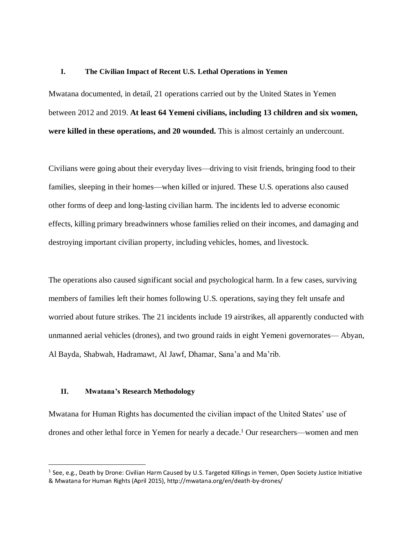### **I. The Civilian Impact of Recent U.S. Lethal Operations in Yemen**

Mwatana documented, in detail, 21 operations carried out by the United States in Yemen between 2012 and 2019. **At least 64 Yemeni civilians, including 13 children and six women, were killed in these operations, and 20 wounded.** This is almost certainly an undercount.

Civilians were going about their everyday lives—driving to visit friends, bringing food to their families, sleeping in their homes—when killed or injured. These U.S. operations also caused other forms of deep and long-lasting civilian harm. The incidents led to adverse economic effects, killing primary breadwinners whose families relied on their incomes, and damaging and destroying important civilian property, including vehicles, homes, and livestock.

The operations also caused significant social and psychological harm. In a few cases, surviving members of families left their homes following U.S. operations, saying they felt unsafe and worried about future strikes. The 21 incidents include 19 airstrikes, all apparently conducted with unmanned aerial vehicles (drones), and two ground raids in eight Yemeni governorates— Abyan, Al Bayda, Shabwah, Hadramawt, Al Jawf, Dhamar, Sana'a and Ma'rib.

#### **II. Mwatana's Research Methodology**

 $\overline{a}$ 

Mwatana for Human Rights has documented the civilian impact of the United States' use of drones and other lethal force in Yemen for nearly a decade.<sup>1</sup> Our researchers—women and men

<sup>&</sup>lt;sup>1</sup> See, e.g., Death by Drone: Civilian Harm Caused by U.S. Targeted Killings in Yemen, Open Society Justice Initiative & Mwatana for Human Rights (April 2015), http://mwatana.org/en/death-by-drones/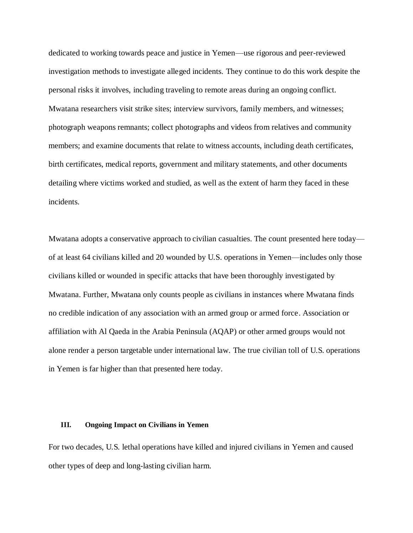dedicated to working towards peace and justice in Yemen—use rigorous and peer-reviewed investigation methods to investigate alleged incidents. They continue to do this work despite the personal risks it involves, including traveling to remote areas during an ongoing conflict. Mwatana researchers visit strike sites; interview survivors, family members, and witnesses; photograph weapons remnants; collect photographs and videos from relatives and community members; and examine documents that relate to witness accounts, including death certificates, birth certificates, medical reports, government and military statements, and other documents detailing where victims worked and studied, as well as the extent of harm they faced in these incidents.

Mwatana adopts a conservative approach to civilian casualties. The count presented here today of at least 64 civilians killed and 20 wounded by U.S. operations in Yemen—includes only those civilians killed or wounded in specific attacks that have been thoroughly investigated by Mwatana. Further, Mwatana only counts people as civilians in instances where Mwatana finds no credible indication of any association with an armed group or armed force. Association or affiliation with Al Qaeda in the Arabia Peninsula (AQAP) or other armed groups would not alone render a person targetable under international law. The true civilian toll of U.S. operations in Yemen is far higher than that presented here today.

#### **III. Ongoing Impact on Civilians in Yemen**

For two decades, U.S. lethal operations have killed and injured civilians in Yemen and caused other types of deep and long-lasting civilian harm.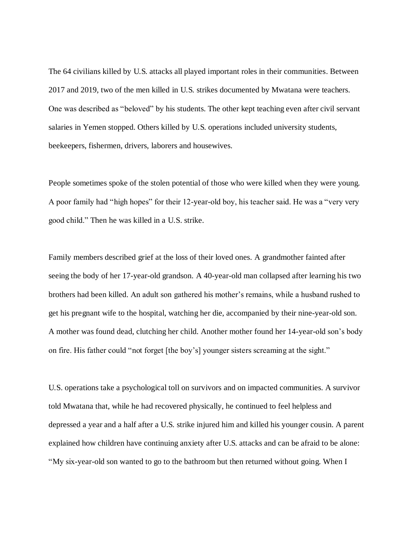The 64 civilians killed by U.S. attacks all played important roles in their communities. Between 2017 and 2019, two of the men killed in U.S. strikes documented by Mwatana were teachers. One was described as "beloved" by his students. The other kept teaching even after civil servant salaries in Yemen stopped. Others killed by U.S. operations included university students, beekeepers, fishermen, drivers, laborers and housewives.

People sometimes spoke of the stolen potential of those who were killed when they were young. A poor family had "high hopes" for their 12-year-old boy, his teacher said. He was a "very very good child." Then he was killed in a U.S. strike.

Family members described grief at the loss of their loved ones. A grandmother fainted after seeing the body of her 17-year-old grandson. A 40-year-old man collapsed after learning his two brothers had been killed. An adult son gathered his mother's remains, while a husband rushed to get his pregnant wife to the hospital, watching her die, accompanied by their nine-year-old son. A mother was found dead, clutching her child. Another mother found her 14-year-old son's body on fire. His father could "not forget [the boy's] younger sisters screaming at the sight."

U.S. operations take a psychological toll on survivors and on impacted communities. A survivor told Mwatana that, while he had recovered physically, he continued to feel helpless and depressed a year and a half after a U.S. strike injured him and killed his younger cousin. A parent explained how children have continuing anxiety after U.S. attacks and can be afraid to be alone: "My six-year-old son wanted to go to the bathroom but then returned without going. When I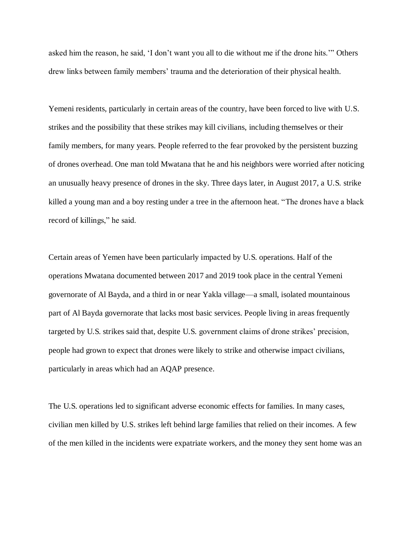asked him the reason, he said, 'I don't want you all to die without me if the drone hits.'" Others drew links between family members' trauma and the deterioration of their physical health.

Yemeni residents, particularly in certain areas of the country, have been forced to live with U.S. strikes and the possibility that these strikes may kill civilians, including themselves or their family members, for many years. People referred to the fear provoked by the persistent buzzing of drones overhead. One man told Mwatana that he and his neighbors were worried after noticing an unusually heavy presence of drones in the sky. Three days later, in August 2017, a U.S. strike killed a young man and a boy resting under a tree in the afternoon heat. "The drones have a black record of killings," he said.

Certain areas of Yemen have been particularly impacted by U.S. operations. Half of the operations Mwatana documented between 2017 and 2019 took place in the central Yemeni governorate of Al Bayda, and a third in or near Yakla village—a small, isolated mountainous part of Al Bayda governorate that lacks most basic services. People living in areas frequently targeted by U.S. strikes said that, despite U.S. government claims of drone strikes' precision, people had grown to expect that drones were likely to strike and otherwise impact civilians, particularly in areas which had an AQAP presence.

The U.S. operations led to significant adverse economic effects for families. In many cases, civilian men killed by U.S. strikes left behind large families that relied on their incomes. A few of the men killed in the incidents were expatriate workers, and the money they sent home was an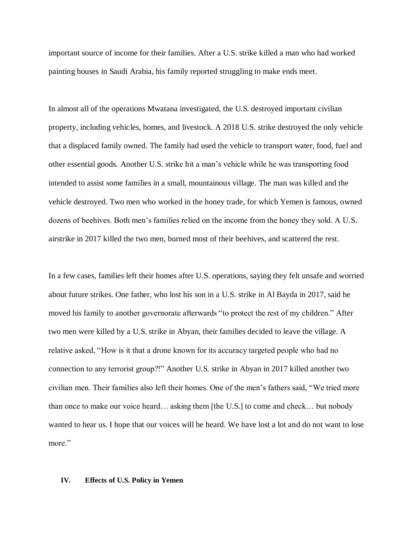important source of income for their families. After a U.S. strike killed a man who had worked painting houses in Saudi Arabia, his family reported struggling to make ends meet.

In almost all of the operations Mwatana investigated, the U.S. destroyed important civilian property, including vehicles, homes, and livestock. A 2018 U.S. strike destroyed the only vehicle that a displaced family owned. The family had used the vehicle to transport water, food, fuel and other essential goods. Another U.S. strike hit a man's vehicle while he was transporting food intended to assist some families in a small, mountainous village. The man was killed and the vehicle destroyed. Two men who worked in the honey trade, for which Yemen is famous, owned dozens of beehives. Both men's families relied on the income from the honey they sold. A U.S. airstrike in 2017 killed the two men, burned most of their beehives, and scattered the rest.

In a few cases, families left their homes after U.S. operations, saying they felt unsafe and worried about future strikes. One father, who lost his son in a U.S. strike in Al Bayda in 2017, said he moved his family to another governorate afterwards "to protect the rest of my children." After two men were killed by a U.S. strike in Abyan, their families decided to leave the village. A relative asked, "How is it that a drone known for its accuracy targeted people who had no connection to any terrorist group?!" Another U.S. strike in Abyan in 2017 killed another two civilian men. Their families also left their homes. One of the men's fathers said, "We tried more than once to make our voice heard… asking them [the U.S.] to come and check… but nobody wanted to hear us. I hope that our voices will be heard. We have lost a lot and do not want to lose more."

#### **IV. Effects of U.S. Policy in Yemen**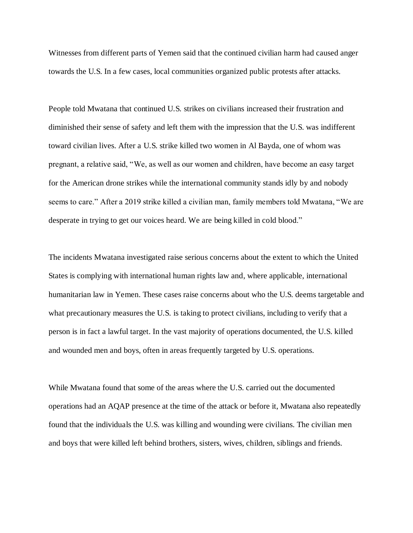Witnesses from different parts of Yemen said that the continued civilian harm had caused anger towards the U.S. In a few cases, local communities organized public protests after attacks.

People told Mwatana that continued U.S. strikes on civilians increased their frustration and diminished their sense of safety and left them with the impression that the U.S. was indifferent toward civilian lives. After a U.S. strike killed two women in Al Bayda, one of whom was pregnant, a relative said, "We, as well as our women and children, have become an easy target for the American drone strikes while the international community stands idly by and nobody seems to care." After a 2019 strike killed a civilian man, family members told Mwatana, "We are desperate in trying to get our voices heard. We are being killed in cold blood."

The incidents Mwatana investigated raise serious concerns about the extent to which the United States is complying with international human rights law and, where applicable, international humanitarian law in Yemen. These cases raise concerns about who the U.S. deems targetable and what precautionary measures the U.S. is taking to protect civilians, including to verify that a person is in fact a lawful target. In the vast majority of operations documented, the U.S. killed and wounded men and boys, often in areas frequently targeted by U.S. operations.

While Mwatana found that some of the areas where the U.S. carried out the documented operations had an AQAP presence at the time of the attack or before it, Mwatana also repeatedly found that the individuals the U.S. was killing and wounding were civilians. The civilian men and boys that were killed left behind brothers, sisters, wives, children, siblings and friends.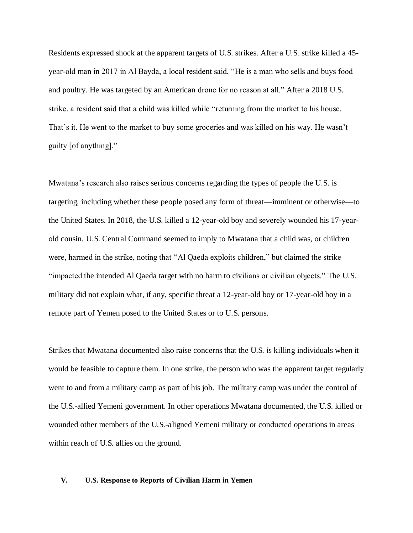Residents expressed shock at the apparent targets of U.S. strikes. After a U.S. strike killed a 45 year-old man in 2017 in Al Bayda, a local resident said, "He is a man who sells and buys food and poultry. He was targeted by an American drone for no reason at all." After a 2018 U.S. strike, a resident said that a child was killed while "returning from the market to his house. That's it. He went to the market to buy some groceries and was killed on his way. He wasn't guilty [of anything]."

Mwatana's research also raises serious concerns regarding the types of people the U.S. is targeting, including whether these people posed any form of threat—imminent or otherwise—to the United States. In 2018, the U.S. killed a 12-year-old boy and severely wounded his 17-yearold cousin. U.S. Central Command seemed to imply to Mwatana that a child was, or children were, harmed in the strike, noting that "Al Qaeda exploits children," but claimed the strike "impacted the intended Al Qaeda target with no harm to civilians or civilian objects." The U.S. military did not explain what, if any, specific threat a 12-year-old boy or 17-year-old boy in a remote part of Yemen posed to the United States or to U.S. persons.

Strikes that Mwatana documented also raise concerns that the U.S. is killing individuals when it would be feasible to capture them. In one strike, the person who was the apparent target regularly went to and from a military camp as part of his job. The military camp was under the control of the U.S.-allied Yemeni government. In other operations Mwatana documented, the U.S. killed or wounded other members of the U.S.-aligned Yemeni military or conducted operations in areas within reach of U.S. allies on the ground.

#### **V. U.S. Response to Reports of Civilian Harm in Yemen**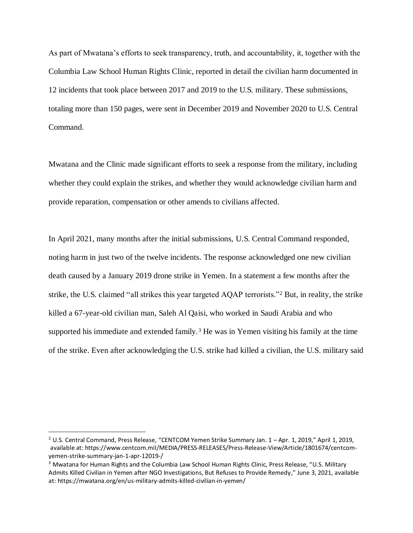As part of Mwatana's efforts to seek transparency, truth, and accountability, it, together with the Columbia Law School Human Rights Clinic, reported in detail the civilian harm documented in 12 incidents that took place between 2017 and 2019 to the U.S. military. These submissions, totaling more than 150 pages, were sent in December 2019 and November 2020 to U.S. Central Command.

Mwatana and the Clinic made significant efforts to seek a response from the military, including whether they could explain the strikes, and whether they would acknowledge civilian harm and provide reparation, compensation or other amends to civilians affected.

In April 2021, many months after the initial submissions, U.S. Central Command responded, noting harm in just two of the twelve incidents. The response acknowledged one new civilian death caused by a January 2019 drone strike in Yemen. In a statement a few months after the strike, the U.S. claimed "all strikes this year targeted AQAP terrorists."<sup>2</sup> But, in reality, the strike killed a 67-year-old civilian man, Saleh Al Qaisi, who worked in Saudi Arabia and who supported his immediate and extended family.<sup>3</sup> He was in Yemen visiting his family at the time of the strike. Even after acknowledging the U.S. strike had killed a civilian, the U.S. military said

 $\overline{a}$ 

<sup>&</sup>lt;sup>2</sup> U.S. Central Command, Press Release, "CENTCOM Yemen Strike Summary Jan.  $1 -$ Apr. 1, 2019," April 1, 2019, available at: https://www.centcom.mil/MEDIA/PRESS-RELEASES/Press-Release-View/Article/1801674/centcomyemen-strike-summary-jan-1-apr-12019-/

<sup>&</sup>lt;sup>3</sup> Mwatana for Human Rights and the Columbia Law School Human Rights Clinic, Press Release, "U.S. Military Admits Killed Civilian in Yemen after NGO Investigations, But Refuses to Provide Remedy," June 3, 2021, available at: https://mwatana.org/en/us-military-admits-killed-civilian-in-yemen/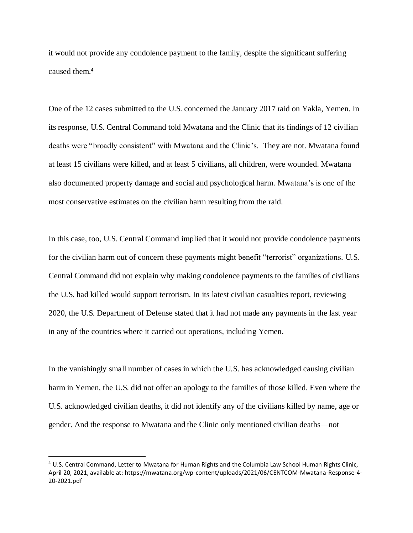it would not provide any condolence payment to the family, despite the significant suffering caused them.<sup>4</sup>

One of the 12 cases submitted to the U.S. concerned the January 2017 raid on Yakla, Yemen. In its response, U.S. Central Command told Mwatana and the Clinic that its findings of 12 civilian deaths were "broadly consistent" with Mwatana and the Clinic's. They are not. Mwatana found at least 15 civilians were killed, and at least 5 civilians, all children, were wounded. Mwatana also documented property damage and social and psychological harm. Mwatana's is one of the most conservative estimates on the civilian harm resulting from the raid.

In this case, too, U.S. Central Command implied that it would not provide condolence payments for the civilian harm out of concern these payments might benefit "terrorist" organizations. U.S. Central Command did not explain why making condolence payments to the families of civilians the U.S. had killed would support terrorism. In its latest civilian casualties report, reviewing 2020, the U.S. Department of Defense stated that it had not made any payments in the last year in any of the countries where it carried out operations, including Yemen.

In the vanishingly small number of cases in which the U.S. has acknowledged causing civilian harm in Yemen, the U.S. did not offer an apology to the families of those killed. Even where the U.S. acknowledged civilian deaths, it did not identify any of the civilians killed by name, age or gender. And the response to Mwatana and the Clinic only mentioned civilian deaths—not

 $\overline{a}$ 

<sup>4</sup> U.S. Central Command, Letter to Mwatana for Human Rights and the Columbia Law School Human Rights Clinic, April 20, 2021, available at: https://mwatana.org/wp-content/uploads/2021/06/CENTCOM-Mwatana-Response-4- 20-2021.pdf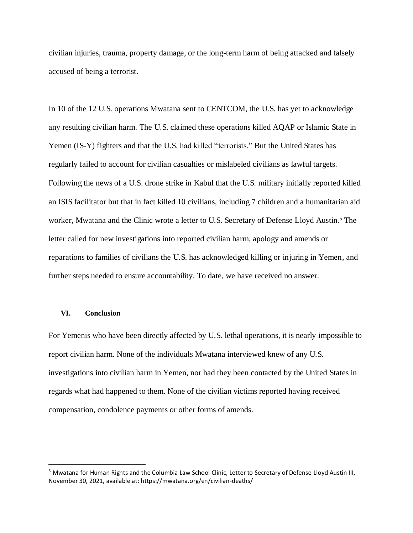civilian injuries, trauma, property damage, or the long-term harm of being attacked and falsely accused of being a terrorist.

In 10 of the 12 U.S. operations Mwatana sent to CENTCOM, the U.S. has yet to acknowledge any resulting civilian harm. The U.S. claimed these operations killed AQAP or Islamic State in Yemen (IS-Y) fighters and that the U.S. had killed "terrorists." But the United States has regularly failed to account for civilian casualties or mislabeled civilians as lawful targets. Following the news of a U.S. drone strike in Kabul that the U.S. military initially reported killed an ISIS facilitator but that in fact killed 10 civilians, including 7 children and a humanitarian aid worker, Mwatana and the Clinic wrote a letter to U.S. Secretary of Defense Lloyd Austin.<sup>5</sup> The letter called for new investigations into reported civilian harm, apology and amends or reparations to families of civilians the U.S. has acknowledged killing or injuring in Yemen, and further steps needed to ensure accountability. To date, we have received no answer.

## **VI. Conclusion**

 $\overline{a}$ 

For Yemenis who have been directly affected by U.S. lethal operations, it is nearly impossible to report civilian harm. None of the individuals Mwatana interviewed knew of any U.S. investigations into civilian harm in Yemen, nor had they been contacted by the United States in regards what had happened to them. None of the civilian victims reported having received compensation, condolence payments or other forms of amends.

<sup>5</sup> Mwatana for Human Rights and the Columbia Law School Clinic, Letter to Secretary of Defense Lloyd Austin III, November 30, 2021, available at: https://mwatana.org/en/civilian-deaths/